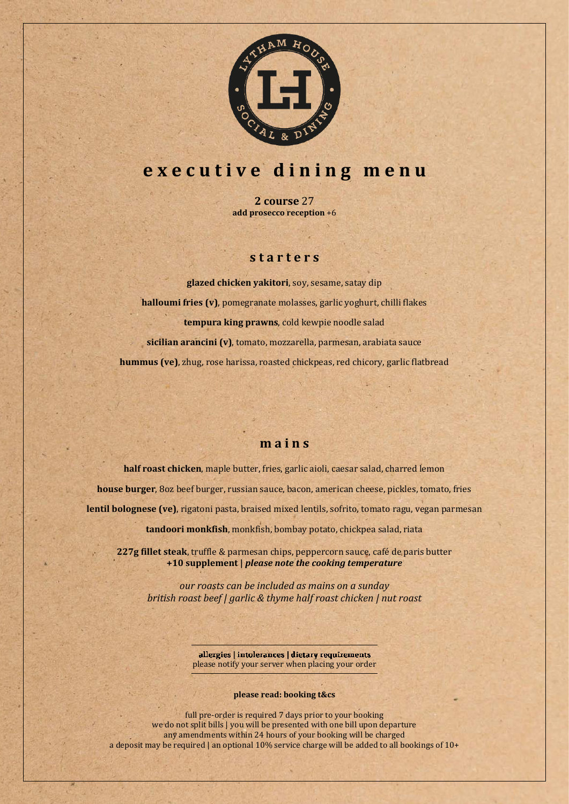

# **e x e c u t i v e d i n i n g m e n u**

**2 course** 27 **add prosecco reception** +6

# **s t a r t e r s**

**glazed chicken yakitori**, soy, sesame, satay dip **halloumi fries (v)**, pomegranate molasses, garlic yoghurt, chilli flakes **tempura king prawns**, cold kewpie noodle salad **sicilian arancini (v)**, tomato, mozzarella, parmesan, arabiata sauce **hummus (ve)**, zhug, rose harissa, roasted chickpeas, red chicory, garlic flatbread

# **m a i n s**

**half roast chicken**, maple butter, fries, garlic aioli, caesar salad, charred lemon **house burger**, 8oz beef burger, russian sauce, bacon, american cheese, pickles, tomato, fries **lentil bolognese (ve)**, rigatoni pasta, braised mixed lentils, sofrito, tomato ragu, vegan parmesan

**tandoori monkfish**, monkfish, bombay potato, chickpea salad, riata

**227g fillet steak**, truffle & parmesan chips, peppercorn sauce, café de paris butter **+10 supplement |** *please note the cooking temperature*

*our roasts can be included as mains on a sunday british roast beef | garlic & thyme half roast chicken | nut roast*

> allergies | intolerances | dietary requirements please notify your server when placing your order

#### **please read: booking t&cs**

full pre-order is required 7 days prior to your booking we do not split bills | you will be presented with one bill upon departure any amendments within 24 hours of your booking will be charged a deposit may be required | an optional 10% service charge will be added to all bookings of 10+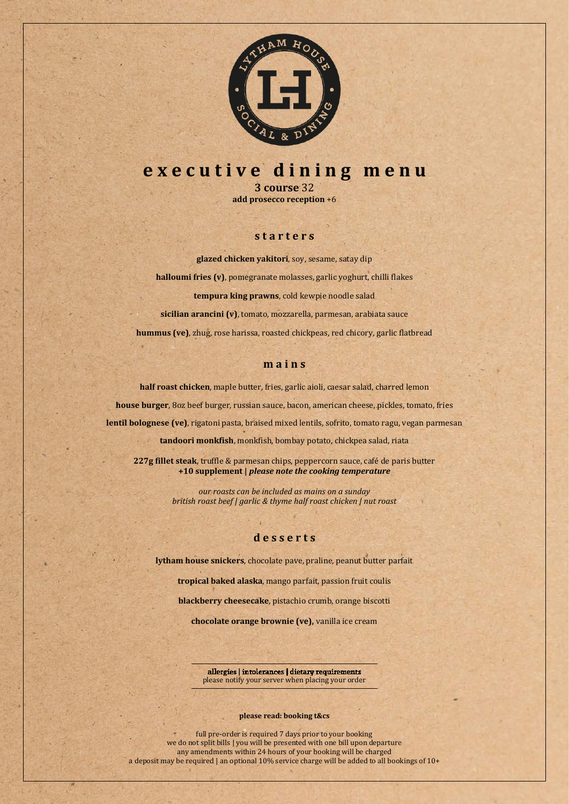

# **e x e c u t i v e d i n i n g m e n u**

**3 course** 32 **add prosecco reception** +6

## **s t a r t e r s**

**glazed chicken yakitori**, soy, sesame, satay dip **halloumi fries (v)**, pomegranate molasses, garlic yoghurt, chilli flakes **tempura king prawns**, cold kewpie noodle salad **sicilian arancini (v)**, tomato, mozzarella, parmesan, arabiata sauce **hummus (ve)**, zhug, rose harissa, roasted chickpeas, red chicory, garlic flatbread

#### **m a i n s**

**half roast chicken**, maple butter, fries, garlic aioli, caesar salad, charred lemon **house burger**, 8oz beef burger, russian sauce, bacon, american cheese, pickles, tomato, fries **lentil bolognese (ve)**, rigatoni pasta, braised mixed lentils, sofrito, tomato ragu, vegan parmesan **tandoori monkfish**, monkfish, bombay potato, chickpea salad, riata

**227g fillet steak**, truffle & parmesan chips, peppercorn sauce, café de paris butter **+10 supplement |** *please note the cooking temperature*

> *our roasts can be included as mains on a sunday british roast beef | garlic & thyme half roast chicken | nut roast*

## **d e s s e r t s**

**lytham house snickers**, chocolate pave, praline, peanut butter parfait

**tropical baked alaska**, mango parfait, passion fruit coulis **blackberry cheesecake**, pistachio crumb, orange biscotti

**chocolate orange brownie (ve),** vanilla ice cream

allergies | intolerances | dietary requirements please notify your server when placing your order

#### **please read: booking t&cs**

full pre-order is required 7 days prior to your booking we do not split bills | you will be presented with one bill upon departure any amendments within 24 hours of your booking will be charged a deposit may be required | an optional 10% service charge will be added to all bookings of 10+